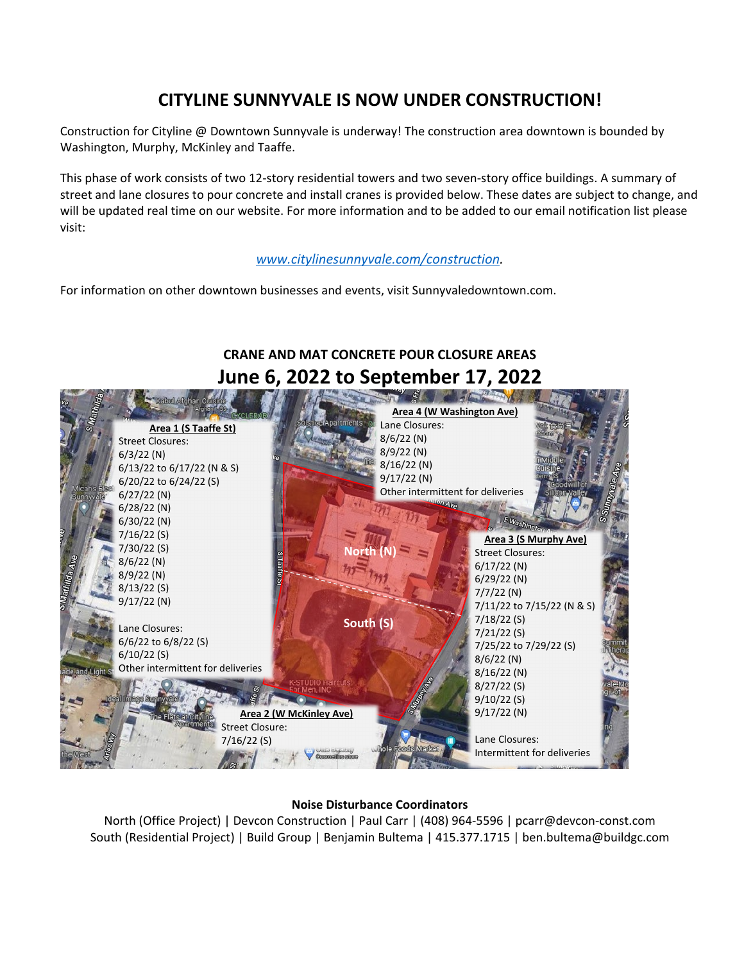## **CITYLINE SUNNYVALE IS NOW UNDER CONSTRUCTION!**

Construction for Cityline @ Downtown Sunnyvale is underway! The construction area downtown is bounded by Washington, Murphy, McKinley and Taaffe.

This phase of work consists of two 12-story residential towers and two seven-story office buildings. A summary of street and lane closures to pour concrete and install cranes is provided below. These dates are subject to change, and will be updated real time on our website. For more information and to be added to our email notification list please visit:

*[www.citylinesunnyvale.com/construction.](http://www.citylinesunnyvale.com/construction)*

For information on other downtown businesses and events, visit Sunnyvaledowntown.com.

## **CRANE AND MAT CONCRETE POUR CLOSURE AREAS June 6, 2022 to September 17, 2022 Area 1 (S Taaffe St)** Street Closures: 6/3/22 (N) 6/13/22 to 6/17/22 (N & S) 6/20/22 to 6/24/22 (S) 6/27/22 (N) 6/28/22 (N) 6/30/22 (N) 7/16/22 (S) 7/30/22 (S) 8/6/22 (N) 8/9/22 (N) 8/13/22 (S) 9/17/22 (N) Lane Closures: 6/6/22 to 6/8/22 (S) 6/10/22 (S) Other intermittent for deliveries **Area 2 (W McKinley Ave)** Street Closure: 7/16/22 (S) **Area 4 (W Washington Ave)** Lane Closures: 8/6/22 (N) 8/9/22 (N) 8/16/22 (N) 9/17/22 (N) Other intermittent for deliveries **Area 3 (S Murphy Ave)** Street Closures: 6/17/22 (N) 6/29/22 (N) 7/7/22 (N) 7/11/22 to 7/15/22 (N & S) 7/18/22 (S) 7/21/22 (S) 7/25/22 to 7/29/22 (S) 8/6/22 (N) 8/16/22 (N) 8/27/22 (S) 9/10/22 (S) 9/17/22 (N) Lane Closures: Intermittent for deliveries **North (N) South (S)**

## **Noise Disturbance Coordinators**

North (Office Project) | Devcon Construction | Paul Carr | (408) 964-5596 | pcarr@devcon-const.com South (Residential Project) | Build Group | Benjamin Bultema | 415.377.1715 | ben.bultema@buildgc.com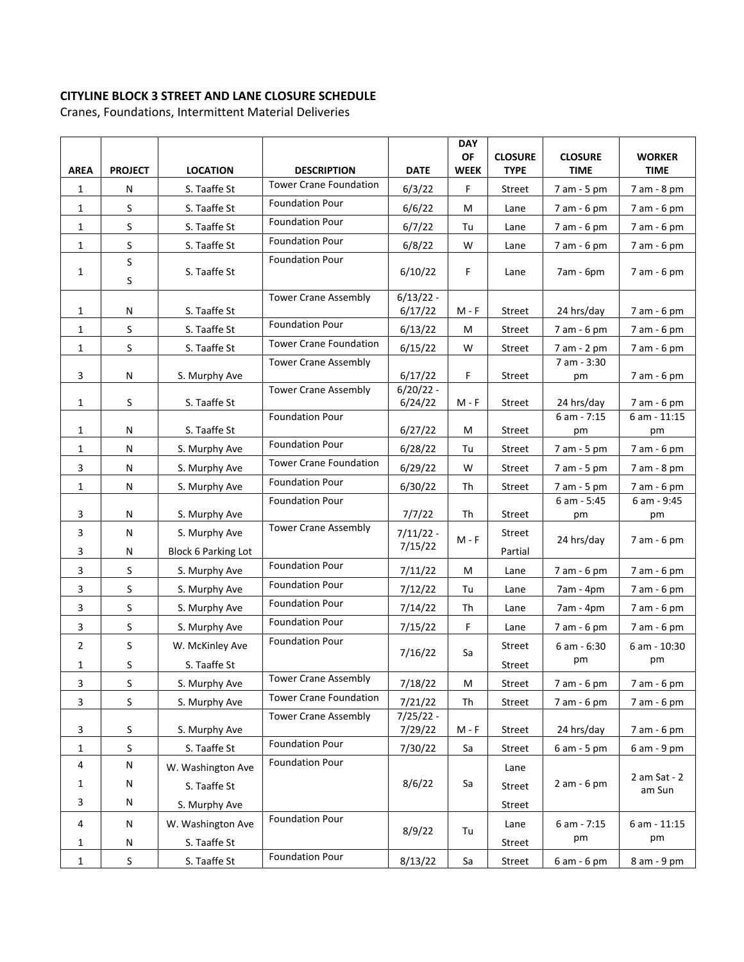## **CITYLINE BLOCK 3 STREET AND LANE CLOSURE SCHEDULE**

Cranes, Foundations, Intermittent Material Deliveries

|                |                |                            |                                                     |                        | <b>DAY</b><br>OF | <b>CLOSURE</b> | <b>CLOSURE</b>    | <b>WORKER</b>          |
|----------------|----------------|----------------------------|-----------------------------------------------------|------------------------|------------------|----------------|-------------------|------------------------|
| <b>AREA</b>    | <b>PROJECT</b> | <b>LOCATION</b>            | <b>DESCRIPTION</b><br><b>Tower Crane Foundation</b> | <b>DATE</b>            | <b>WEEK</b>      | <b>TYPE</b>    | <b>TIME</b>       | <b>TIME</b>            |
| $\mathbf{1}$   | N              | S. Taaffe St               |                                                     | 6/3/22                 | F                | Street         | 7 am - 5 pm       | 7 am - 8 pm            |
| $\mathbf{1}$   | S              | S. Taaffe St               | <b>Foundation Pour</b>                              | 6/6/22                 | M                | Lane           | 7 am - 6 pm       | 7 am - 6 pm            |
| 1              | S              | S. Taaffe St               | <b>Foundation Pour</b>                              | 6/7/22                 | Tu               | Lane           | 7 am - 6 pm       | 7 am - 6 pm            |
| $\mathbf{1}$   | $\sf S$        | S. Taaffe St               | <b>Foundation Pour</b>                              | 6/8/22                 | W                | Lane           | 7 am - 6 pm       | 7 am - 6 pm            |
| $\mathbf{1}$   | $\sf S$<br>S   | S. Taaffe St               | <b>Foundation Pour</b>                              | 6/10/22                | F.               | Lane           | 7am - 6pm         | 7 am - 6 pm            |
| 1              | N              | S. Taaffe St               | <b>Tower Crane Assembly</b>                         | $6/13/22 -$<br>6/17/22 | $M - F$          | Street         | 24 hrs/day        | 7 am - 6 pm            |
| 1              | S              | S. Taaffe St               | <b>Foundation Pour</b>                              | 6/13/22                | M                | Street         | 7 am - 6 pm       | 7 am - 6 pm            |
| $\mathbf{1}$   | $\sf S$        | S. Taaffe St               | <b>Tower Crane Foundation</b>                       | 6/15/22                | W                | Street         | 7 am - 2 pm       | 7 am - 6 pm            |
|                |                |                            | <b>Tower Crane Assembly</b>                         |                        |                  |                | 7 am - 3:30       |                        |
| 3              | N              | S. Murphy Ave              |                                                     | 6/17/22                | F                | Street         | pm                | 7 am - 6 pm            |
| $\mathbf{1}$   | S              | S. Taaffe St               | <b>Tower Crane Assembly</b>                         | $6/20/22 -$<br>6/24/22 | M - F            | Street         | 24 hrs/day        | $7$ am $-6$ pm         |
|                |                |                            | <b>Foundation Pour</b>                              |                        |                  |                | 6 am - 7:15       | $6 am - 11:15$         |
| $\mathbf{1}$   | N              | S. Taaffe St               |                                                     | 6/27/22                | M                | Street         | pm                | pm                     |
| 1              | N              | S. Murphy Ave              | <b>Foundation Pour</b>                              | 6/28/22                | Tu               | Street         | 7 am - 5 pm       | 7 am - 6 pm            |
| 3              | N              | S. Murphy Ave              | <b>Tower Crane Foundation</b>                       | 6/29/22                | W                | Street         | 7 am - 5 pm       | 7 am - 8 pm            |
| $\mathbf{1}$   | N              | S. Murphy Ave              | <b>Foundation Pour</b>                              | 6/30/22                | Th               | Street         | 7 am - 5 pm       | 7 am - 6 pm            |
| 3              | N              | S. Murphy Ave              | <b>Foundation Pour</b>                              | 7/7/22                 | Th               | Street         | 6 am - 5:45<br>pm | 6 am - 9:45<br>pm      |
| 3              | N              | S. Murphy Ave              | <b>Tower Crane Assembly</b>                         | $7/11/22 -$            |                  | Street         |                   |                        |
| 3              | N              | <b>Block 6 Parking Lot</b> |                                                     | 7/15/22                | $M - F$          | Partial        | 24 hrs/day        | 7 am - 6 pm            |
| 3              | S              | S. Murphy Ave              | <b>Foundation Pour</b>                              | 7/11/22                | м                | Lane           | 7 am - 6 pm       | 7 am - 6 pm            |
| 3              | $\sf S$        | S. Murphy Ave              | <b>Foundation Pour</b>                              | 7/12/22                | Tu               | Lane           | 7am - 4pm         | 7 am - 6 pm            |
| 3              | S              | S. Murphy Ave              | <b>Foundation Pour</b>                              | 7/14/22                | Th               | Lane           | 7am - 4pm         | 7 am - 6 pm            |
| 3              | $\sf S$        | S. Murphy Ave              | <b>Foundation Pour</b>                              | 7/15/22                | F.               | Lane           | 7 am - 6 pm       | 7 am - 6 pm            |
| $\overline{2}$ | S              | W. McKinley Ave            | <b>Foundation Pour</b>                              |                        |                  | Street         | 6 am - 6:30       | 6 am - 10:30           |
|                |                |                            |                                                     | 7/16/22                | Sa               |                | pm                | pm                     |
| 1              | $\sf S$        | S. Taaffe St               | <b>Tower Crane Assembly</b>                         |                        |                  | Street         |                   |                        |
| 3              | S              | S. Murphy Ave              | <b>Tower Crane Foundation</b>                       | 7/18/22                | M                | Street         | 7 am - 6 pm       | 7 am - 6 pm            |
| 3              | $\sf S$        | S. Murphy Ave              | <b>Tower Crane Assembly</b>                         | 7/21/22<br>$7/25/22 -$ | Th               | Street         | 7 am - 6 pm       | 7 am - 6 pm            |
| 3              | S              | S. Murphy Ave              |                                                     | 7/29/22                | M - F            | Street         | 24 hrs/day        | 7 am - 6 pm            |
| $\mathbf{1}$   | $\sf S$        | S. Taaffe St               | <b>Foundation Pour</b>                              | 7/30/22                | Sa               | Street         | 6 am - 5 pm       | 6 am - 9 pm            |
| 4              | N              | W. Washington Ave          | <b>Foundation Pour</b>                              |                        |                  | Lane           |                   |                        |
| 1              | N              | S. Taaffe St               |                                                     | 8/6/22                 | Sa               | Street         | $2am - 6pm$       | 2 am Sat - 2<br>am Sun |
| 3              | N              | S. Murphy Ave              |                                                     |                        |                  | Street         |                   |                        |
| 4              | N              | W. Washington Ave          | <b>Foundation Pour</b>                              | 8/9/22                 | Tu               | Lane           | 6 am - 7:15       | 6 am - 11:15           |
| 1              | N              | S. Taaffe St               |                                                     |                        |                  | Street         | pm                | pm                     |
| $\mathbf{1}$   | $\sf S$        | S. Taaffe St               | <b>Foundation Pour</b>                              | 8/13/22                | Sa               | Street         | 6 am - 6 pm       | 8 am - 9 pm            |